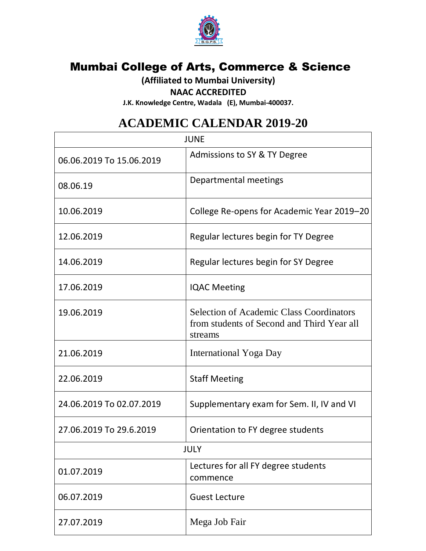

## **Mumbai College of Arts, Commerce & Science**

**(Affiliated to Mumbai University)**

## **NAAC ACCREDITED**

**J.K. Knowledge Centre, Wadala (E), Mumbai-400037.**

## **ACADEMIC CALENDAR 2019-20**

| <b>JUNE</b>              |                                                                                                          |
|--------------------------|----------------------------------------------------------------------------------------------------------|
| 06.06.2019 To 15.06.2019 | Admissions to SY & TY Degree                                                                             |
| 08.06.19                 | Departmental meetings                                                                                    |
| 10.06.2019               | College Re-opens for Academic Year 2019-20                                                               |
| 12.06.2019               | Regular lectures begin for TY Degree                                                                     |
| 14.06.2019               | Regular lectures begin for SY Degree                                                                     |
| 17.06.2019               | <b>IQAC Meeting</b>                                                                                      |
| 19.06.2019               | <b>Selection of Academic Class Coordinators</b><br>from students of Second and Third Year all<br>streams |
| 21.06.2019               | International Yoga Day                                                                                   |
| 22.06.2019               | <b>Staff Meeting</b>                                                                                     |
| 24.06.2019 To 02.07.2019 | Supplementary exam for Sem. II, IV and VI                                                                |
| 27.06.2019 To 29.6.2019  | Orientation to FY degree students                                                                        |
| <b>JULY</b>              |                                                                                                          |
| 01.07.2019               | Lectures for all FY degree students<br>commence                                                          |
| 06.07.2019               | <b>Guest Lecture</b>                                                                                     |
| 27.07.2019               | Mega Job Fair                                                                                            |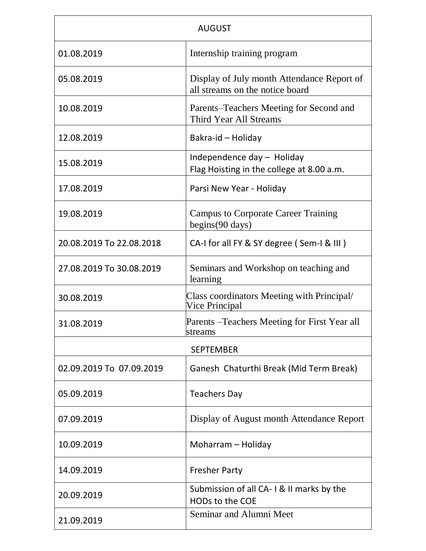| <b>AUGUST</b>            |                                                                               |  |
|--------------------------|-------------------------------------------------------------------------------|--|
| 01.08.2019               | Internship training program                                                   |  |
| 05.08.2019               | Display of July month Attendance Report of<br>all streams on the notice board |  |
| 10.08.2019               | Parents-Teachers Meeting for Second and<br>Third Year All Streams             |  |
| 12.08.2019               | Bakra-id - Holiday                                                            |  |
| 15.08.2019               | Independence day - Holiday<br>Flag Hoisting in the college at 8.00 a.m.       |  |
| 17.08.2019               | Parsi New Year - Holiday                                                      |  |
| 19.08.2019               | <b>Campus to Corporate Career Training</b><br>begins(90 days)                 |  |
| 20.08.2019 To 22.08.2018 | CA-I for all FY & SY degree (Sem-I & III)                                     |  |
| 27.08.2019 To 30.08.2019 | Seminars and Workshop on teaching and<br>learning                             |  |
| 30.08.2019               | Class coordinators Meeting with Principal/<br>Vice Principal                  |  |
| 31.08.2019               | Parents – Teachers Meeting for First Year all<br>streams                      |  |
| <b>SEPTEMBER</b>         |                                                                               |  |
| 02.09.2019 To 07.09.2019 | Ganesh Chaturthi Break (Mid Term Break)                                       |  |
| 05.09.2019               | <b>Teachers Day</b>                                                           |  |
| 07.09.2019               | Display of August month Attendance Report                                     |  |
| 10.09.2019               | Moharram - Holiday                                                            |  |
| 14.09.2019               | <b>Fresher Party</b>                                                          |  |
| 20.09.2019               | Submission of all CA-1& II marks by the<br><b>HODs to the COE</b>             |  |
| 21.09.2019               | Seminar and Alumni Meet                                                       |  |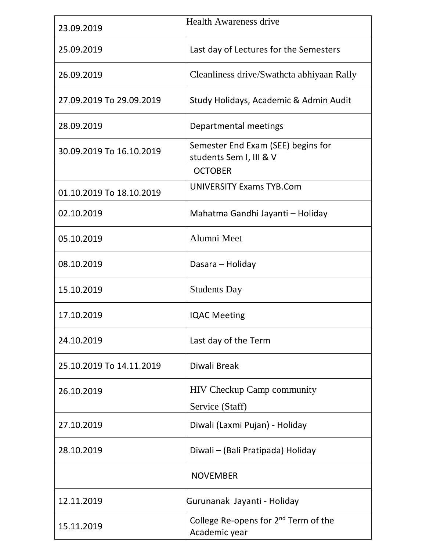| 23.09.2019               | <b>Health Awareness drive</b>                                     |  |
|--------------------------|-------------------------------------------------------------------|--|
| 25.09.2019               | Last day of Lectures for the Semesters                            |  |
| 26.09.2019               | Cleanliness drive/Swathcta abhiyaan Rally                         |  |
| 27.09.2019 To 29.09.2019 | Study Holidays, Academic & Admin Audit                            |  |
| 28.09.2019               | Departmental meetings                                             |  |
| 30.09.2019 To 16.10.2019 | Semester End Exam (SEE) begins for<br>students Sem I, III & V     |  |
|                          | <b>OCTOBER</b>                                                    |  |
| 01.10.2019 To 18.10.2019 | <b>UNIVERSITY Exams TYB.Com</b>                                   |  |
| 02.10.2019               | Mahatma Gandhi Jayanti - Holiday                                  |  |
| 05.10.2019               | Alumni Meet                                                       |  |
| 08.10.2019               | Dasara - Holiday                                                  |  |
| 15.10.2019               | <b>Students Day</b>                                               |  |
| 17.10.2019               | <b>IQAC Meeting</b>                                               |  |
| 24.10.2019               | Last day of the Term                                              |  |
| 25.10.2019 To 14.11.2019 | Diwali Break                                                      |  |
| 26.10.2019               | <b>HIV Checkup Camp community</b>                                 |  |
|                          | Service (Staff)                                                   |  |
| 27.10.2019               | Diwali (Laxmi Pujan) - Holiday                                    |  |
| 28.10.2019               | Diwali – (Bali Pratipada) Holiday                                 |  |
| <b>NOVEMBER</b>          |                                                                   |  |
| 12.11.2019               | Gurunanak Jayanti - Holiday                                       |  |
| 15.11.2019               | College Re-opens for 2 <sup>nd</sup> Term of the<br>Academic year |  |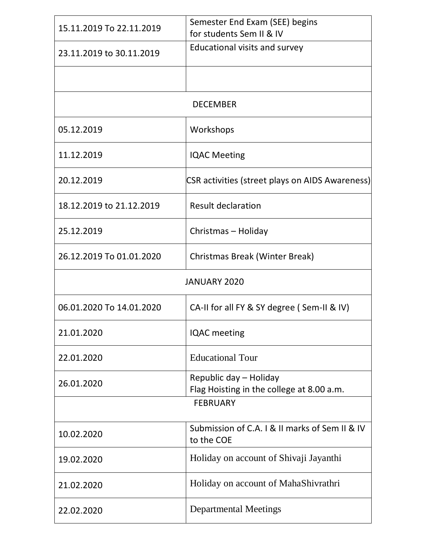| 15.11.2019 To 22.11.2019 | Semester End Exam (SEE) begins<br>for students Sem II & IV          |  |
|--------------------------|---------------------------------------------------------------------|--|
| 23.11.2019 to 30.11.2019 | Educational visits and survey                                       |  |
|                          |                                                                     |  |
| <b>DECEMBER</b>          |                                                                     |  |
|                          |                                                                     |  |
| 05.12.2019               | Workshops                                                           |  |
| 11.12.2019               | <b>IQAC Meeting</b>                                                 |  |
| 20.12.2019               | <b>CSR</b> activities (street plays on AIDS Awareness)              |  |
| 18.12.2019 to 21.12.2019 | <b>Result declaration</b>                                           |  |
| 25.12.2019               | Christmas - Holiday                                                 |  |
| 26.12.2019 To 01.01.2020 | Christmas Break (Winter Break)                                      |  |
| <b>JANUARY 2020</b>      |                                                                     |  |
| 06.01.2020 To 14.01.2020 | CA-II for all FY & SY degree (Sem-II & IV)                          |  |
| 21.01.2020               | <b>IQAC</b> meeting                                                 |  |
| 22.01.2020               | <b>Educational Tour</b>                                             |  |
| 26.01.2020               | Republic day - Holiday<br>Flag Hoisting in the college at 8.00 a.m. |  |
| <b>FEBRUARY</b>          |                                                                     |  |
| 10.02.2020               | Submission of C.A. I & II marks of Sem II & IV<br>to the COE        |  |
| 19.02.2020               | Holiday on account of Shivaji Jayanthi                              |  |
| 21.02.2020               | Holiday on account of MahaShivrathri                                |  |
| 22.02.2020               | <b>Departmental Meetings</b>                                        |  |